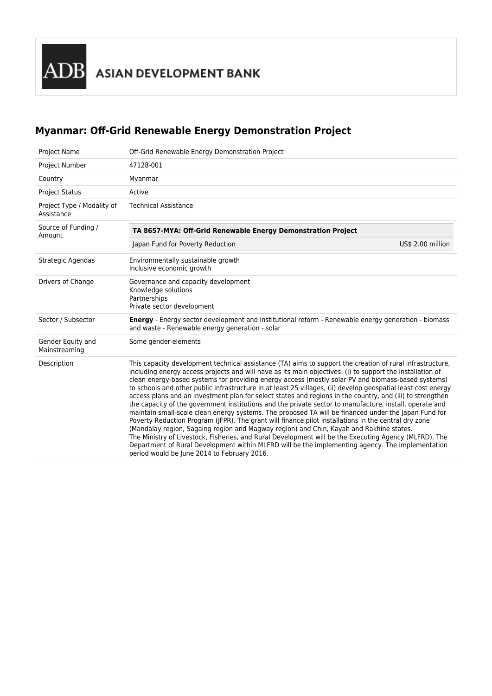# **Myanmar: Off-Grid Renewable Energy Demonstration Project**

| <b>Project Name</b>                      | Off-Grid Renewable Energy Demonstration Project                                                                                                                                                                                                                                                                                                                                                                                                                                                                                                                                                                                                                                                                                                                                                                                                                                                                                                                                                                                                                                                                                                                                                                                              |  |  |  |  |
|------------------------------------------|----------------------------------------------------------------------------------------------------------------------------------------------------------------------------------------------------------------------------------------------------------------------------------------------------------------------------------------------------------------------------------------------------------------------------------------------------------------------------------------------------------------------------------------------------------------------------------------------------------------------------------------------------------------------------------------------------------------------------------------------------------------------------------------------------------------------------------------------------------------------------------------------------------------------------------------------------------------------------------------------------------------------------------------------------------------------------------------------------------------------------------------------------------------------------------------------------------------------------------------------|--|--|--|--|
| Project Number                           | 47128-001                                                                                                                                                                                                                                                                                                                                                                                                                                                                                                                                                                                                                                                                                                                                                                                                                                                                                                                                                                                                                                                                                                                                                                                                                                    |  |  |  |  |
| Country                                  | Myanmar                                                                                                                                                                                                                                                                                                                                                                                                                                                                                                                                                                                                                                                                                                                                                                                                                                                                                                                                                                                                                                                                                                                                                                                                                                      |  |  |  |  |
| <b>Project Status</b>                    | Active                                                                                                                                                                                                                                                                                                                                                                                                                                                                                                                                                                                                                                                                                                                                                                                                                                                                                                                                                                                                                                                                                                                                                                                                                                       |  |  |  |  |
| Project Type / Modality of<br>Assistance | <b>Technical Assistance</b>                                                                                                                                                                                                                                                                                                                                                                                                                                                                                                                                                                                                                                                                                                                                                                                                                                                                                                                                                                                                                                                                                                                                                                                                                  |  |  |  |  |
| Source of Funding /<br>Amount            | TA 8657-MYA: Off-Grid Renewable Energy Demonstration Project                                                                                                                                                                                                                                                                                                                                                                                                                                                                                                                                                                                                                                                                                                                                                                                                                                                                                                                                                                                                                                                                                                                                                                                 |  |  |  |  |
|                                          | Japan Fund for Poverty Reduction<br>US\$ 2.00 million                                                                                                                                                                                                                                                                                                                                                                                                                                                                                                                                                                                                                                                                                                                                                                                                                                                                                                                                                                                                                                                                                                                                                                                        |  |  |  |  |
| Strategic Agendas                        | Environmentally sustainable growth<br>Inclusive economic growth                                                                                                                                                                                                                                                                                                                                                                                                                                                                                                                                                                                                                                                                                                                                                                                                                                                                                                                                                                                                                                                                                                                                                                              |  |  |  |  |
| Drivers of Change                        | Governance and capacity development<br>Knowledge solutions<br>Partnerships<br>Private sector development                                                                                                                                                                                                                                                                                                                                                                                                                                                                                                                                                                                                                                                                                                                                                                                                                                                                                                                                                                                                                                                                                                                                     |  |  |  |  |
| Sector / Subsector                       | <b>Energy</b> - Energy sector development and institutional reform - Renewable energy generation - biomass<br>and waste - Renewable energy generation - solar                                                                                                                                                                                                                                                                                                                                                                                                                                                                                                                                                                                                                                                                                                                                                                                                                                                                                                                                                                                                                                                                                |  |  |  |  |
| Gender Equity and<br>Mainstreaming       | Some gender elements                                                                                                                                                                                                                                                                                                                                                                                                                                                                                                                                                                                                                                                                                                                                                                                                                                                                                                                                                                                                                                                                                                                                                                                                                         |  |  |  |  |
| Description                              | This capacity development technical assistance (TA) aims to support the creation of rural infrastructure,<br>including energy access projects and will have as its main objectives: (i) to support the installation of<br>clean energy-based systems for providing energy access (mostly solar PV and biomass-based systems)<br>to schools and other public infrastructure in at least 25 villages, (ii) develop geospatial least cost energy<br>access plans and an investment plan for select states and regions in the country, and (iii) to strengthen<br>the capacity of the government institutions and the private sector to manufacture, install, operate and<br>maintain small-scale clean energy systems. The proposed TA will be financed under the Japan Fund for<br>Poverty Reduction Program (JFPR). The grant will finance pilot installations in the central dry zone<br>(Mandalay region, Sagaing region and Magway region) and Chin, Kayah and Rakhine states.<br>The Ministry of Livestock, Fisheries, and Rural Development will be the Executing Agency (MLFRD). The<br>Department of Rural Development within MLFRD will be the implementing agency. The implementation<br>period would be June 2014 to February 2016. |  |  |  |  |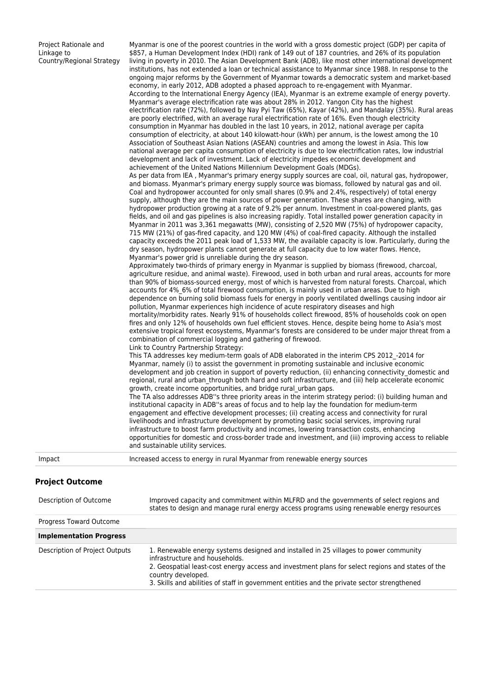Project Rationale and Linkage to Country/Regional Strategy

Myanmar is one of the poorest countries in the world with a gross domestic project (GDP) per capita of \$857, a Human Development Index (HDI) rank of 149 out of 187 countries, and 26% of its population living in poverty in 2010. The Asian Development Bank (ADB), like most other international development institutions, has not extended a loan or technical assistance to Myanmar since 1988. In response to the ongoing major reforms by the Government of Myanmar towards a democratic system and market-based economy, in early 2012, ADB adopted a phased approach to re-engagement with Myanmar. According to the International Energy Agency (IEA), Myanmar is an extreme example of energy poverty. Myanmar's average electrification rate was about 28% in 2012. Yangon City has the highest electrification rate (72%), followed by Nay Pyi Taw (65%), Kayar (42%), and Mandalay (35%). Rural areas are poorly electrified, with an average rural electrification rate of 16%. Even though electricity consumption in Myanmar has doubled in the last 10 years, in 2012, national average per capita consumption of electricity, at about 140 kilowatt-hour (kWh) per annum, is the lowest among the 10 Association of Southeast Asian Nations (ASEAN) countries and among the lowest in Asia. This low national average per capita consumption of electricity is due to low electrification rates, low industrial development and lack of investment. Lack of electricity impedes economic development and achievement of the United Nations Millennium Development Goals (MDGs). As per data from IEA , Myanmar's primary energy supply sources are coal, oil, natural gas, hydropower, and biomass. Myanmar's primary energy supply source was biomass, followed by natural gas and oil. Coal and hydropower accounted for only small shares (0.9% and 2.4%, respectively) of total energy supply, although they are the main sources of power generation. These shares are changing, with hydropower production growing at a rate of 9.2% per annum. Investment in coal-powered plants, gas fields, and oil and gas pipelines is also increasing rapidly. Total installed power generation capacity in Myanmar in 2011 was 3,361 megawatts (MW), consisting of 2,520 MW (75%) of hydropower capacity, 715 MW (21%) of gas-fired capacity, and 120 MW (4%) of coal-fired capacity. Although the installed capacity exceeds the 2011 peak load of 1,533 MW, the available capacity is low. Particularly, during the dry season, hydropower plants cannot generate at full capacity due to low water flows. Hence, Myanmar's power grid is unreliable during the dry season. Approximately two-thirds of primary energy in Myanmar is supplied by biomass (firewood, charcoal, agriculture residue, and animal waste). Firewood, used in both urban and rural areas, accounts for more than 90% of biomass-sourced energy, most of which is harvested from natural forests. Charcoal, which accounts for 4%\_6% of total firewood consumption, is mainly used in urban areas. Due to high dependence on burning solid biomass fuels for energy in poorly ventilated dwellings causing indoor air pollution, Myanmar experiences high incidence of acute respiratory diseases and high mortality/morbidity rates. Nearly 91% of households collect firewood, 85% of households cook on open fires and only 12% of households own fuel efficient stoves. Hence, despite being home to Asia's most extensive tropical forest ecosystems, Myanmar's forests are considered to be under major threat from a combination of commercial logging and gathering of firewood. Link to Country Partnership Strategy: This TA addresses key medium-term goals of ADB elaborated in the interim CPS 2012\_-2014 for Myanmar, namely (i) to assist the government in promoting sustainable and inclusive economic development and job creation in support of poverty reduction, (ii) enhancing connectivity\_domestic and regional, rural and urban through both hard and soft infrastructure, and (iii) help accelerate economic growth, create income opportunities, and bridge rural\_urban gaps. The TA also addresses ADB''s three priority areas in the interim strategy period: (i) building human and institutional capacity in ADB''s areas of focus and to help lay the foundation for medium-term engagement and effective development processes; (ii) creating access and connectivity for rural livelihoods and infrastructure development by promoting basic social services, improving rural infrastructure to boost farm productivity and incomes, lowering transaction costs, enhancing opportunities for domestic and cross-border trade and investment, and (iii) improving access to reliable and sustainable utility services.

Impact Increased access to energy in rural Myanmar from renewable energy sources

#### **Project Outcome**

| Improved capacity and commitment within MLFRD and the governments of select regions and<br>Description of Outcome<br>states to design and manage rural energy access programs using renewable energy resources |                                                                                                                                                                                                                                                                                                                                                 |  |  |
|----------------------------------------------------------------------------------------------------------------------------------------------------------------------------------------------------------------|-------------------------------------------------------------------------------------------------------------------------------------------------------------------------------------------------------------------------------------------------------------------------------------------------------------------------------------------------|--|--|
| Progress Toward Outcome                                                                                                                                                                                        |                                                                                                                                                                                                                                                                                                                                                 |  |  |
| <b>Implementation Progress</b>                                                                                                                                                                                 |                                                                                                                                                                                                                                                                                                                                                 |  |  |
| Description of Project Outputs                                                                                                                                                                                 | 1. Renewable energy systems designed and installed in 25 villages to power community<br>infrastructure and households.<br>2. Geospatial least-cost energy access and investment plans for select regions and states of the<br>country developed.<br>3. Skills and abilities of staff in government entities and the private sector strengthened |  |  |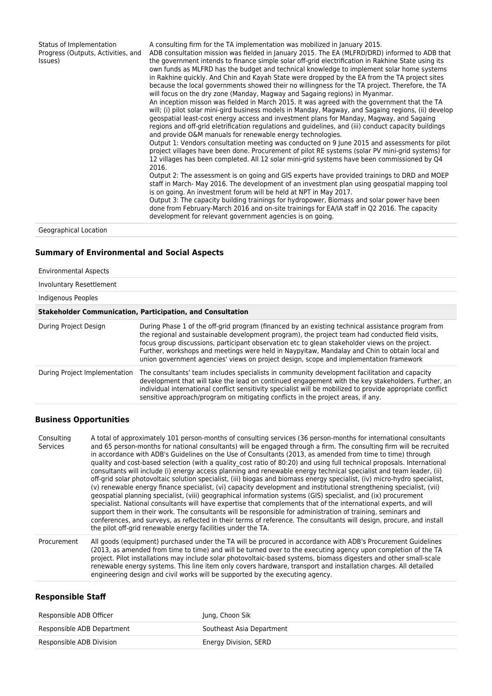Status of Implementation Progress (Outputs, Activities, and Issues) A consulting firm for the TA implementation was mobilized in January 2015. ADB consultation mission was fielded in January 2015. The EA (MLFRD/DRD) informed to ADB that the government intends to finance simple solar off-grid electrification in Rakhine State using its own funds as MLFRD has the budget and technical knowledge to implement solar home systems in Rakhine quickly. And Chin and Kayah State were dropped by the EA from the TA project sites because the local governments showed their no willingness for the TA project. Therefore, the TA will focus on the dry zone (Manday, Magway and Sagaing regions) in Myanmar. An inception misson was fielded in March 2015. It was agreed with the government that the TA will; (i) pilot solar mini-gird business models in Manday, Magway, and Sagaing regions, (ii) develop geospatial least-cost energy access and investment plans for Manday, Magway, and Sagaing regions and off-grid eletrification regulations and guidelines, and (iii) conduct capacity buildings and provide O&M manuals for renewable energy technologies. Output 1: Vendors consultation meeting was conducted on 9 June 2015 and assessments for pilot project villages have been done. Procurement of pilot RE systems (solar PV mini-grid systems) for 12 villages has been completed. All 12 solar mini-grid systems have been commissioned by Q4 2016. Output 2: The assessment is on going and GIS experts have provided trainings to DRD and MOEP staff in March- May 2016. The development of an investment plan using geospatial mapping tool is on going. An investment forum will be held at NPT in May 2017. Output 3: The capacity building trainings for hydropower, Biomass and solar power have been done from February-March 2016 and on-site trainings for EA/IA staff in Q2 2016. The capacity development for relevant government agencies is on going.

Geographical Location

# **Summary of Environmental and Social Aspects**

| <b>Environmental Aspects</b>  |                                                                                                                                                                                                                                                                                                                                                                                                                                                                                                    |
|-------------------------------|----------------------------------------------------------------------------------------------------------------------------------------------------------------------------------------------------------------------------------------------------------------------------------------------------------------------------------------------------------------------------------------------------------------------------------------------------------------------------------------------------|
| Involuntary Resettlement      |                                                                                                                                                                                                                                                                                                                                                                                                                                                                                                    |
| Indigenous Peoples            |                                                                                                                                                                                                                                                                                                                                                                                                                                                                                                    |
|                               | <b>Stakeholder Communication, Participation, and Consultation</b>                                                                                                                                                                                                                                                                                                                                                                                                                                  |
| During Project Design         | During Phase 1 of the off-grid program (financed by an existing technical assistance program from<br>the regional and sustainable development program), the project team had conducted field visits,<br>focus group discussions, participant observation etc to glean stakeholder views on the project.<br>Further, workshops and meetings were held in Naypyitaw, Mandalay and Chin to obtain local and<br>union government agencies' views on project design, scope and implementation framework |
| During Project Implementation | The consultants' team includes specialists in community development facilitation and capacity<br>development that will take the lead on continued engagement with the key stakeholders. Further, an<br>individual international conflict sensitivity specialist will be mobilized to provide appropriate conflict<br>sensitive approach/program on mitigating conflicts in the project areas, if any.                                                                                              |
|                               |                                                                                                                                                                                                                                                                                                                                                                                                                                                                                                    |

#### **Business Opportunities**

| Consulting<br>Services | A total of approximately 101 person-months of consulting services (36 person-months for international consultants<br>and 65 person-months for national consultants) will be engaged through a firm. The consulting firm will be recruited<br>in accordance with ADB's Guidelines on the Use of Consultants (2013, as amended from time to time) through<br>quality and cost-based selection (with a quality cost ratio of 80:20) and using full technical proposals. International<br>consultants will include (i) energy access planning and renewable energy technical specialist and team leader, (ii)<br>off-grid solar photovoltaic solution specialist, (iii) biogas and biomass energy specialist, (iv) micro-hydro specialist,<br>(v) renewable energy finance specialist, (vi) capacity development and institutional strengthening specialist, (vii)<br>geospatial planning specialist, (viii) geographical information systems (GIS) specialist, and (ix) procurement<br>specialist. National consultants will have expertise that complements that of the international experts, and will<br>support them in their work. The consultants will be responsible for administration of training, seminars and<br>conferences, and surveys, as reflected in their terms of reference. The consultants will design, procure, and install |
|------------------------|------------------------------------------------------------------------------------------------------------------------------------------------------------------------------------------------------------------------------------------------------------------------------------------------------------------------------------------------------------------------------------------------------------------------------------------------------------------------------------------------------------------------------------------------------------------------------------------------------------------------------------------------------------------------------------------------------------------------------------------------------------------------------------------------------------------------------------------------------------------------------------------------------------------------------------------------------------------------------------------------------------------------------------------------------------------------------------------------------------------------------------------------------------------------------------------------------------------------------------------------------------------------------------------------------------------------------------------------|
|                        | the pilot off-grid renewable energy facilities under the TA.                                                                                                                                                                                                                                                                                                                                                                                                                                                                                                                                                                                                                                                                                                                                                                                                                                                                                                                                                                                                                                                                                                                                                                                                                                                                                   |
|                        |                                                                                                                                                                                                                                                                                                                                                                                                                                                                                                                                                                                                                                                                                                                                                                                                                                                                                                                                                                                                                                                                                                                                                                                                                                                                                                                                                |

Procurement All goods (equipment) purchased under the TA will be procured in accordance with ADB's Procurement Guidelines (2013, as amended from time to time) and will be turned over to the executing agency upon completion of the TA project. Pilot installations may include solar photovoltaic-based systems, biomass digesters and other small-scale renewable energy systems. This line item only covers hardware, transport and installation charges. All detailed engineering design and civil works will be supported by the executing agency.

### **Responsible Staff**

| Responsible ADB Officer    | Jung, Choon Sik           |
|----------------------------|---------------------------|
| Responsible ADB Department | Southeast Asia Department |
| Responsible ADB Division   | Energy Division, SERD     |